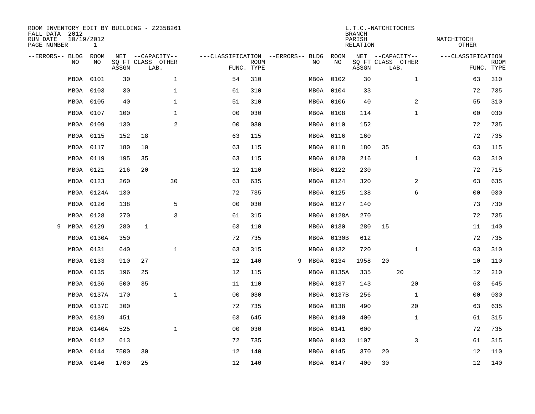| ROOM INVENTORY EDIT BY BUILDING - Z235B261<br>FALL DATA 2012<br>RUN DATE<br>PAGE NUMBER | 10/19/2012<br>$\mathbf{1}$ |       |                           |              | L.T.C.-NATCHITOCHES<br><b>BRANCH</b><br>PARISH<br><b>RELATION</b> |  |      |            |       |                           |              |                   |                           |
|-----------------------------------------------------------------------------------------|----------------------------|-------|---------------------------|--------------|-------------------------------------------------------------------|--|------|------------|-------|---------------------------|--------------|-------------------|---------------------------|
| --ERRORS-- BLDG                                                                         | ROOM                       |       | NET --CAPACITY--          |              | ---CLASSIFICATION --ERRORS-- BLDG                                 |  |      | ROOM       |       | NET --CAPACITY--          |              | ---CLASSIFICATION |                           |
| NO                                                                                      | NO                         | ASSGN | SQ FT CLASS OTHER<br>LAB. |              | <b>ROOM</b><br>FUNC. TYPE                                         |  | NO   | NO         | ASSGN | SQ FT CLASS OTHER<br>LAB. |              |                   | <b>ROOM</b><br>FUNC. TYPE |
| MB0A                                                                                    | 0101                       | 30    |                           | $\mathbf 1$  | 54<br>310                                                         |  | MBOA | 0102       | 30    |                           | $\mathbf{1}$ | 63                | 310                       |
| MB0A                                                                                    | 0103                       | 30    |                           | $\mathbf 1$  | 61<br>310                                                         |  |      | MB0A 0104  | 33    |                           |              | 72                | 735                       |
| MB0A                                                                                    | 0105                       | 40    |                           | $\mathbf 1$  | 51<br>310                                                         |  |      | MB0A 0106  | 40    |                           | 2            | 55                | 310                       |
| MB0A                                                                                    | 0107                       | 100   |                           | $\mathbf 1$  | 00<br>030                                                         |  |      | MB0A 0108  | 114   |                           | $\mathbf{1}$ | 0 <sub>0</sub>    | 030                       |
| MB0A                                                                                    | 0109                       | 130   |                           | 2            | 030<br>00                                                         |  |      | MB0A 0110  | 152   |                           |              | 72                | 735                       |
| MB0A                                                                                    | 0115                       | 152   | 18                        |              | 63<br>115                                                         |  |      | MB0A 0116  | 160   |                           |              | 72                | 735                       |
| MB0A                                                                                    | 0117                       | 180   | 10                        |              | 63<br>115                                                         |  |      | MB0A 0118  | 180   | 35                        |              | 63                | 115                       |
| MB0A                                                                                    | 0119                       | 195   | 35                        |              | 63<br>115                                                         |  |      | MB0A 0120  | 216   |                           | $\mathbf{1}$ | 63                | 310                       |
| MB0A                                                                                    | 0121                       | 216   | 20                        |              | 12<br>110                                                         |  |      | MB0A 0122  | 230   |                           |              | 72                | 715                       |
| MB0A                                                                                    | 0123                       | 260   | 30                        |              | 63<br>635                                                         |  |      | MB0A 0124  | 320   |                           | 2            | 63                | 635                       |
| MB0A                                                                                    | 0124A                      | 130   |                           |              | 735<br>72                                                         |  |      | MB0A 0125  | 138   |                           | 6            | 00                | 030                       |
| MB0A                                                                                    | 0126                       | 138   |                           | 5            | 0 <sub>0</sub><br>030                                             |  |      | MB0A 0127  | 140   |                           |              | 73                | 730                       |
| MB0A                                                                                    | 0128                       | 270   |                           | 3            | 315<br>61                                                         |  |      | MB0A 0128A | 270   |                           |              | 72                | 735                       |
| MB0A<br>9                                                                               | 0129                       | 280   | 1                         |              | 110<br>63                                                         |  |      | MB0A 0130  | 280   | 15                        |              | 11                | 140                       |
| MBOA                                                                                    | 0130A                      | 350   |                           |              | 72<br>735                                                         |  |      | MB0A 0130B | 612   |                           |              | 72                | 735                       |
| MB0A                                                                                    | 0131                       | 640   |                           | $\mathbf{1}$ | 63<br>315                                                         |  |      | MB0A 0132  | 720   |                           | $\mathbf{1}$ | 63                | 310                       |
| MB0A                                                                                    | 0133                       | 910   | 27                        |              | 12<br>140                                                         |  | 9    | MB0A 0134  | 1958  | 20                        |              | 10                | 110                       |
| MB0A                                                                                    | 0135                       | 196   | 25                        |              | 12<br>115                                                         |  |      | MB0A 0135A | 335   | 20                        |              | 12                | 210                       |
| MB0A                                                                                    | 0136                       | 500   | 35                        |              | 110<br>11                                                         |  |      | MB0A 0137  | 143   |                           | 20           | 63                | 645                       |
| MB0A                                                                                    | 0137A                      | 170   |                           | $\mathbf 1$  | 0 <sub>0</sub><br>030                                             |  |      | MB0A 0137B | 256   |                           | $\mathbf{1}$ | 00                | 030                       |
| MB0A                                                                                    | 0137C                      | 300   |                           |              | 72<br>735                                                         |  |      | MB0A 0138  | 490   |                           | 20           | 63                | 635                       |
| MB0A                                                                                    | 0139                       | 451   |                           |              | 63<br>645                                                         |  |      | MB0A 0140  | 400   |                           | $\mathbf{1}$ | 61                | 315                       |
| MB0A                                                                                    | 0140A                      | 525   |                           | $\mathbf{1}$ | 0 <sub>0</sub><br>030                                             |  |      | MB0A 0141  | 600   |                           |              | 72                | 735                       |
| MB0A                                                                                    | 0142                       | 613   |                           |              | 72<br>735                                                         |  |      | MB0A 0143  | 1107  |                           | 3            | 61                | 315                       |
| MB0A                                                                                    | 0144                       | 7500  | 30                        |              | 12<br>140                                                         |  |      | MB0A 0145  | 370   | 20                        |              | 12                | 110                       |
|                                                                                         | MB0A 0146                  | 1700  | 25                        |              | 12<br>140                                                         |  |      | MB0A 0147  | 400   | 30                        |              | 12                | 140                       |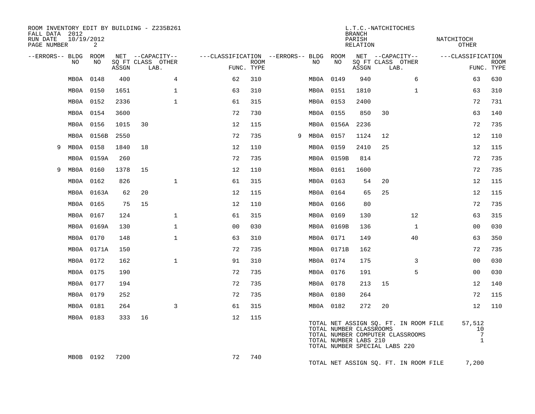| ROOM INVENTORY EDIT BY BUILDING - Z235B261<br>FALL DATA 2012<br>RUN DATE | 10/19/2012 |            |       |                                       |              |                                        | L.T.C.-NATCHITOCHES<br><b>BRANCH</b><br>NATCHITOCH<br>PARISH |   |           |                                                  |          |                                       |                                                                           |  |                                                 |             |
|--------------------------------------------------------------------------|------------|------------|-------|---------------------------------------|--------------|----------------------------------------|--------------------------------------------------------------|---|-----------|--------------------------------------------------|----------|---------------------------------------|---------------------------------------------------------------------------|--|-------------------------------------------------|-------------|
| PAGE NUMBER                                                              |            | 2          |       |                                       |              |                                        |                                                              |   |           |                                                  | RELATION |                                       |                                                                           |  | OTHER                                           |             |
| --ERRORS-- BLDG ROOM                                                     | NO         | NO         |       | NET --CAPACITY--<br>SQ FT CLASS OTHER |              | ---CLASSIFICATION --ERRORS-- BLDG ROOM | <b>ROOM</b>                                                  |   | NO        | NO                                               |          | NET --CAPACITY--<br>SQ FT CLASS OTHER |                                                                           |  | ---CLASSIFICATION                               | <b>ROOM</b> |
|                                                                          |            |            | ASSGN | LAB.                                  |              |                                        | FUNC. TYPE                                                   |   |           |                                                  | ASSGN    | LAB.                                  |                                                                           |  | FUNC. TYPE                                      |             |
|                                                                          | MB0A       | 0148       | 400   |                                       | 4            | 62                                     | 310                                                          |   | MB0A 0149 |                                                  | 940      |                                       | 6                                                                         |  | 63                                              | 630         |
|                                                                          | MB0A       | 0150       | 1651  |                                       | $\mathbf 1$  | 63                                     | 310                                                          |   | MB0A 0151 |                                                  | 1810     |                                       | $\mathbf{1}$                                                              |  | 63                                              | 310         |
|                                                                          | MB0A 0152  |            | 2336  |                                       | $\mathbf{1}$ | 61                                     | 315                                                          |   | MB0A 0153 |                                                  | 2400     |                                       |                                                                           |  | 72                                              | 731         |
|                                                                          | MB0A       | 0154       | 3600  |                                       |              | 72                                     | 730                                                          |   | MB0A 0155 |                                                  | 850      | 30                                    |                                                                           |  | 63                                              | 140         |
|                                                                          | MB0A 0156  |            | 1015  | 30                                    |              | 12                                     | 115                                                          |   |           | MB0A 0156A                                       | 2236     |                                       |                                                                           |  | 72                                              | 735         |
|                                                                          | MB0A       | 0156B      | 2550  |                                       |              | 72                                     | 735                                                          | 9 | MB0A 0157 |                                                  | 1124     | 12                                    |                                                                           |  | 12                                              | 110         |
| 9                                                                        | MB0A 0158  |            | 1840  | 18                                    |              | 12                                     | 110                                                          |   | MB0A 0159 |                                                  | 2410     | 25                                    |                                                                           |  | 12                                              | 115         |
|                                                                          | MB0A       | 0159A      | 260   |                                       |              | 72                                     | 735                                                          |   |           | MB0A 0159B                                       | 814      |                                       |                                                                           |  | 72                                              | 735         |
| 9                                                                        | MB0A       | 0160       | 1378  | 15                                    |              | 12                                     | 110                                                          |   | MB0A 0161 |                                                  | 1600     |                                       |                                                                           |  | 72                                              | 735         |
|                                                                          | MBOA       | 0162       | 826   |                                       | $\mathbf 1$  | 61                                     | 315                                                          |   | MB0A 0163 |                                                  | 54       | 20                                    |                                                                           |  | 12                                              | 115         |
|                                                                          |            | MB0A 0163A | 62    | 20                                    |              | 12                                     | 115                                                          |   | MB0A 0164 |                                                  | 65       | 25                                    |                                                                           |  | 12                                              | 115         |
|                                                                          | MB0A 0165  |            | 75    | 15                                    |              | 12                                     | 110                                                          |   | MB0A 0166 |                                                  | 80       |                                       |                                                                           |  | 72                                              | 735         |
|                                                                          | MBOA       | 0167       | 124   |                                       | $\mathbf 1$  | 61                                     | 315                                                          |   | MB0A 0169 |                                                  | 130      |                                       | 12                                                                        |  | 63                                              | 315         |
|                                                                          | MB0A       | 0169A      | 130   |                                       | $\mathbf{1}$ | 0 <sub>0</sub>                         | 030                                                          |   |           | MB0A 0169B                                       | 136      |                                       | $\mathbf{1}$                                                              |  | 00                                              | 030         |
|                                                                          | MB0A       | 0170       | 148   |                                       | $\mathbf{1}$ | 63                                     | 310                                                          |   | MB0A 0171 |                                                  | 149      |                                       | 40                                                                        |  | 63                                              | 350         |
|                                                                          |            | MB0A 0171A | 150   |                                       |              | 72                                     | 735                                                          |   |           | MB0A 0171B                                       | 162      |                                       |                                                                           |  | 72                                              | 735         |
|                                                                          | MB0A       | 0172       | 162   |                                       | $\mathbf{1}$ | 91                                     | 310                                                          |   | MB0A 0174 |                                                  | 175      |                                       | 3                                                                         |  | 00                                              | 030         |
|                                                                          | MB0A       | 0175       | 190   |                                       |              | 72                                     | 735                                                          |   | MB0A 0176 |                                                  | 191      |                                       | 5                                                                         |  | 0 <sub>0</sub>                                  | 030         |
|                                                                          | MB0A       | 0177       | 194   |                                       |              | 72                                     | 735                                                          |   | MB0A 0178 |                                                  | 213      | 15                                    |                                                                           |  | 12                                              | 140         |
|                                                                          | MB0A 0179  |            | 252   |                                       |              | 72                                     | 735                                                          |   | MB0A 0180 |                                                  | 264      |                                       |                                                                           |  | 72                                              | 115         |
|                                                                          | MB0A       | 0181       | 264   |                                       | 3            | 61                                     | 315                                                          |   | MB0A 0182 |                                                  | 272      | 20                                    |                                                                           |  | 12                                              | 110         |
|                                                                          | MB0A 0183  |            | 333   | 16                                    |              | 12                                     | 115                                                          |   |           | TOTAL NUMBER CLASSROOMS<br>TOTAL NUMBER LABS 210 |          | TOTAL NUMBER SPECIAL LABS 220         | TOTAL NET ASSIGN SQ. FT. IN ROOM FILE<br>TOTAL NUMBER COMPUTER CLASSROOMS |  | 57,512<br>10<br>$7\phantom{.0}$<br>$\mathbf{1}$ |             |
|                                                                          | MB0B 0192  |            | 7200  |                                       |              | 72                                     | 740                                                          |   |           |                                                  |          |                                       | TOTAL NET ASSIGN SQ. FT. IN ROOM FILE                                     |  | 7,200                                           |             |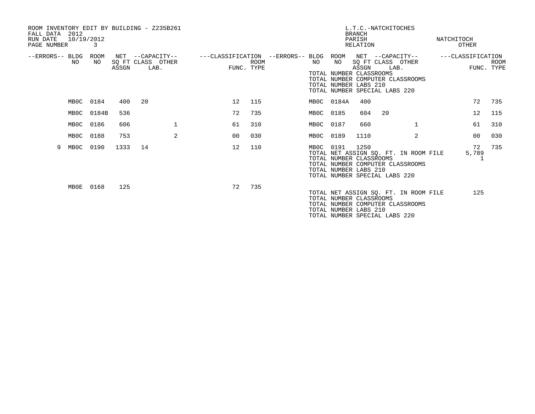| ROOM INVENTORY EDIT BY BUILDING - Z235B261<br>FALL DATA 2012<br>RUN DATE<br>PAGE NUMBER | 10/19/2012<br>3 |       |                                               |              |                                   |                           |           |                                                                                                 | L.T.C.-NATCHITOCHES<br><b>BRANCH</b><br>PARISH<br>RELATION |      |                                                                           | NATCHITOCH | <b>OTHER</b>      |                           |
|-----------------------------------------------------------------------------------------|-----------------|-------|-----------------------------------------------|--------------|-----------------------------------|---------------------------|-----------|-------------------------------------------------------------------------------------------------|------------------------------------------------------------|------|---------------------------------------------------------------------------|------------|-------------------|---------------------------|
| --ERRORS-- BLDG<br>NO                                                                   | ROOM<br>NO.     | ASSGN | NET --CAPACITY--<br>SO FT CLASS OTHER<br>LAB. |              | ---CLASSIFICATION --ERRORS-- BLDG | <b>ROOM</b><br>FUNC. TYPE | NO        | ROOM<br>NO<br>TOTAL NUMBER CLASSROOMS<br>TOTAL NUMBER LABS 210<br>TOTAL NUMBER SPECIAL LABS 220 | ASSGN                                                      | LAB. | NET --CAPACITY--<br>SO FT CLASS OTHER<br>TOTAL NUMBER COMPUTER CLASSROOMS |            | ---CLASSIFICATION | <b>ROOM</b><br>FUNC. TYPE |
|                                                                                         | MB0C 0184       | 400   | 20                                            |              | 12                                | 115                       |           | MB0C 0184A                                                                                      | 400                                                        |      |                                                                           |            | 72                | 735                       |
|                                                                                         | MB0C 0184B      | 536   |                                               |              | 72                                | 735                       | MB0C 0185 |                                                                                                 | 604                                                        | 20   |                                                                           |            | $12 \overline{ }$ | 115                       |
|                                                                                         | MB0C 0186       | 606   |                                               | $\mathbf{1}$ | 61                                | 310                       | MB0C 0187 |                                                                                                 | 660                                                        |      | $\mathbf{1}$                                                              |            | 61                | 310                       |
|                                                                                         | MB0C 0188       | 753   |                                               | 2            | 00                                | 030                       | MB0C 0189 |                                                                                                 | 1110                                                       |      | 2                                                                         |            | 00                | 030                       |
| 9                                                                                       | MB0C 0190       | 1333  | 14                                            |              | 12                                | 110                       | MB0C 0191 | TOTAL NUMBER CLASSROOMS<br>TOTAL NUMBER LABS 210<br>TOTAL NUMBER SPECIAL LABS 220               | 1250                                                       |      | TOTAL NET ASSIGN SQ. FT. IN ROOM FILE<br>TOTAL NUMBER COMPUTER CLASSROOMS |            | 72<br>5,789       | 735                       |
| MBOE                                                                                    | 0168            | 125   |                                               |              | 72                                | 735                       |           | TOTAL NUMBER CLASSROOMS<br>TOTAL NUMBER LABS 210<br>TOTAL NUMBER SPECIAL LABS 220               |                                                            |      | TOTAL NET ASSIGN SO. FT. IN ROOM FILE<br>TOTAL NUMBER COMPUTER CLASSROOMS |            | 125               |                           |